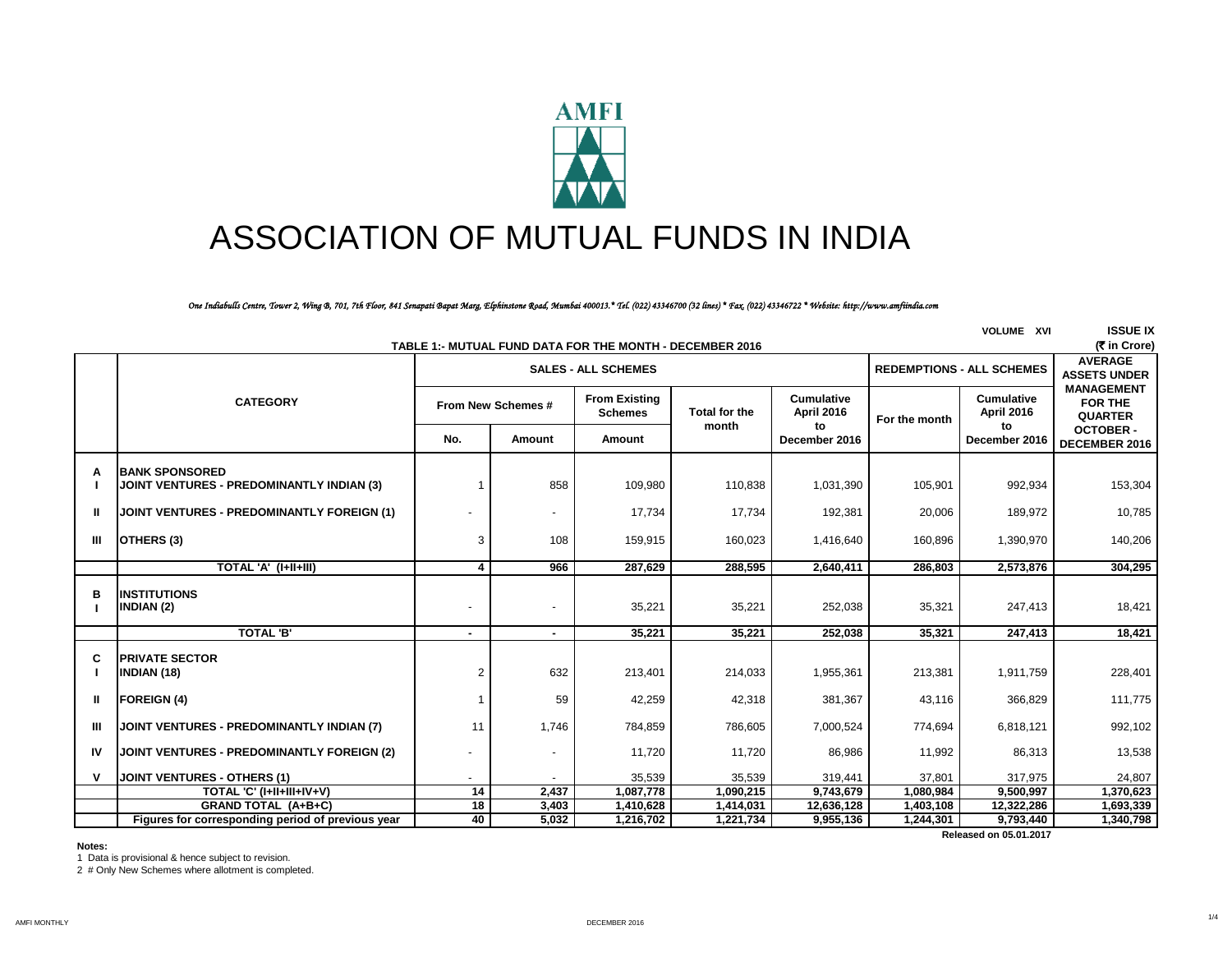

# ASSOCIATION OF MUTUAL FUNDS IN INDIA

*One Indiabulls Centre, Tower 2, Wing B, 701, 7th Floor, 841 Senapati Bapat Marg, Elphinstone Road, Mumbai 400013.\* Tel. (022) 43346700 (32 lines) \* Fax. (022) 43346722 \* Website: http://www.amfiindia.com*

|                                                          | <b>VOLUME XVI</b>                                 |                    |                |                                        |                               |                                       |               |                                        | <b>ISSUE IX</b>                                |
|----------------------------------------------------------|---------------------------------------------------|--------------------|----------------|----------------------------------------|-------------------------------|---------------------------------------|---------------|----------------------------------------|------------------------------------------------|
| TABLE 1:- MUTUAL FUND DATA FOR THE MONTH - DECEMBER 2016 |                                                   |                    |                |                                        |                               |                                       |               |                                        |                                                |
|                                                          |                                                   |                    |                | <b>SALES - ALL SCHEMES</b>             |                               |                                       |               | <b>REDEMPTIONS - ALL SCHEMES</b>       | <b>AVERAGE</b><br><b>ASSETS UNDER</b>          |
|                                                          | <b>CATEGORY</b>                                   | From New Schemes # |                | <b>From Existing</b><br><b>Schemes</b> | <b>Total for the</b><br>month | <b>Cumulative</b><br>April 2016<br>to | For the month | <b>Cumulative</b><br><b>April 2016</b> | <b>MANAGEMENT</b><br>FOR THE<br><b>QUARTER</b> |
|                                                          |                                                   | No.                | Amount         | Amount                                 |                               | December 2016                         |               | to<br>December 2016                    | <b>OCTOBER-</b><br>DECEMBER 2016               |
| А                                                        | <b>IBANK SPONSORED</b>                            |                    |                |                                        |                               |                                       |               |                                        |                                                |
|                                                          | JOINT VENTURES - PREDOMINANTLY INDIAN (3)         |                    | 858            | 109,980                                | 110,838                       | 1,031,390                             | 105,901       | 992,934                                | 153,304                                        |
| ш                                                        | JOINT VENTURES - PREDOMINANTLY FOREIGN (1)        |                    | $\overline{a}$ | 17.734                                 | 17,734                        | 192,381                               | 20,006        | 189,972                                | 10,785                                         |
| Ш                                                        | OTHERS (3)                                        | 3                  | 108            | 159,915                                | 160,023                       | 1,416,640                             | 160,896       | 1,390,970                              | 140,206                                        |
|                                                          | TOTAL 'A' (I+II+III)                              | 4                  | 966            | 287.629                                | 288.595                       | 2,640,411                             | 286,803       | 2,573,876                              | 304.295                                        |
| в                                                        | <b>INSTITUTIONS</b><br>INDIAN (2)                 |                    |                | 35,221                                 | 35,221                        | 252,038                               | 35,321        | 247,413                                | 18,421                                         |
|                                                          | <b>TOTAL 'B'</b>                                  |                    |                | 35.221                                 | 35,221                        | 252,038                               | 35,321        | 247,413                                | 18,421                                         |
| C                                                        | <b>PRIVATE SECTOR</b><br><b>INDIAN (18)</b>       | $\overline{2}$     | 632            | 213,401                                | 214,033                       | 1,955,361                             | 213,381       | 1,911,759                              | 228,401                                        |
| Ш                                                        | <b>FOREIGN (4)</b>                                |                    | 59             | 42,259                                 | 42,318                        | 381,367                               | 43,116        | 366,829                                | 111,775                                        |
| Ш                                                        | JOINT VENTURES - PREDOMINANTLY INDIAN (7)         | 11                 | 1,746          | 784,859                                | 786,605                       | 7,000,524                             | 774,694       | 6,818,121                              | 992,102                                        |
| IV                                                       | JOINT VENTURES - PREDOMINANTLY FOREIGN (2)        |                    |                | 11,720                                 | 11,720                        | 86,986                                | 11,992        | 86,313                                 | 13,538                                         |
|                                                          | JOINT VENTURES - OTHERS (1)                       |                    |                | 35,539                                 | 35,539                        | 319,441                               | 37,801        | 317,975                                | 24,807                                         |
|                                                          | TOTAL 'C' (I+II+III+IV+V)                         | $\overline{14}$    | 2,437          | 1,087,778                              | 1,090,215                     | 9,743,679                             | 1,080,984     | 9,500,997                              | 1,370,623                                      |
|                                                          | <b>GRAND TOTAL (A+B+C)</b>                        | $\overline{18}$    | 3,403          | 1,410,628                              | 1,414,031                     | 12,636,128                            | 1,403,108     | 12,322,286                             | 1,693,339                                      |
|                                                          | Figures for corresponding period of previous year | 40                 | 5,032          | 1,216,702                              | 1,221,734                     | 9,955,136                             | 1,244,301     | 9,793,440                              | 1,340,798                                      |
| Released on 05.01.2017                                   |                                                   |                    |                |                                        |                               |                                       |               |                                        |                                                |

#### **Notes:**

1 Data is provisional & hence subject to revision.

2 # Only New Schemes where allotment is completed.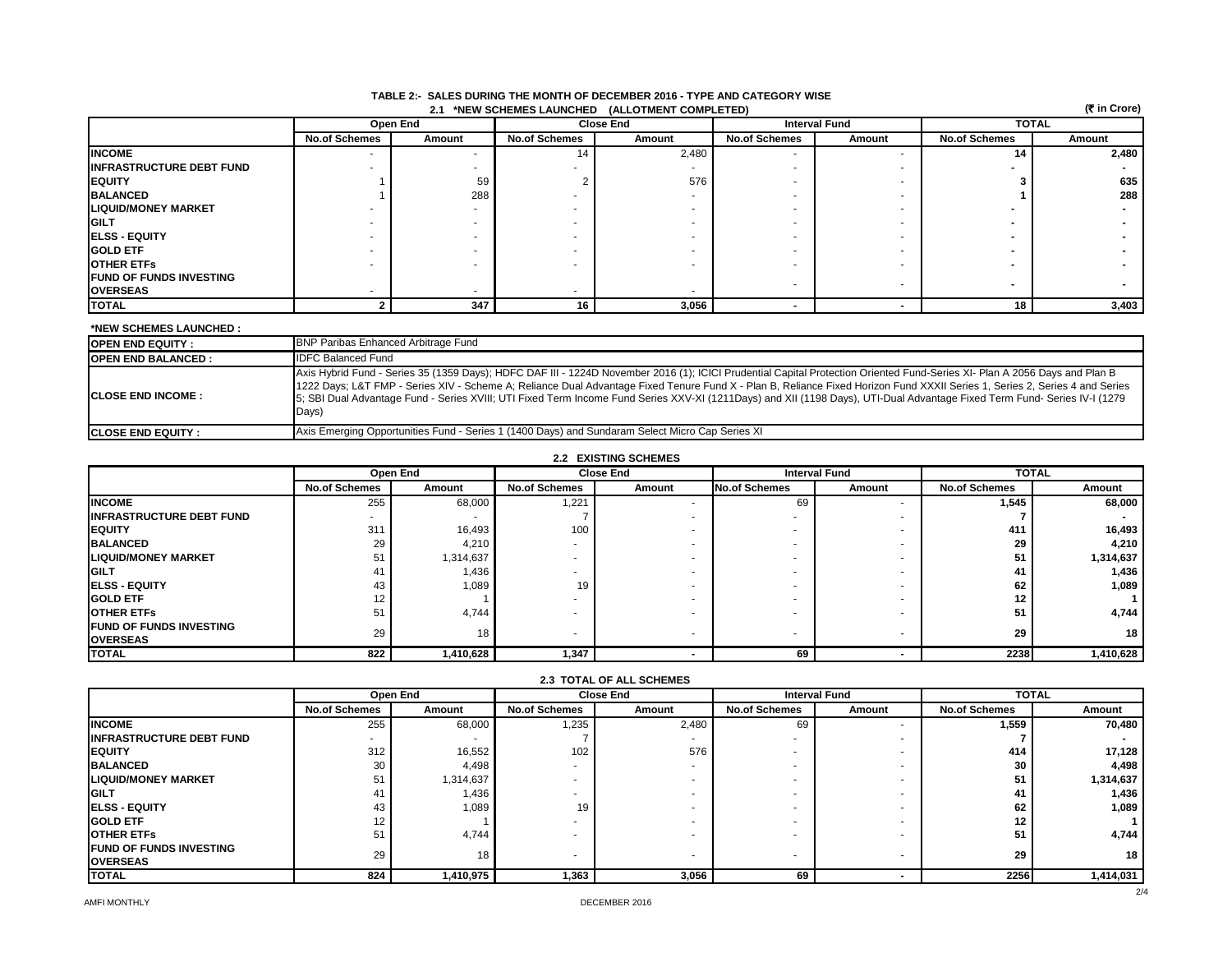| (₹ in Crore)<br>2.1 *NEW SCHEMES LAUNCHED (ALLOTMENT COMPLETED) |                          |          |                          |                  |                          |                      |                      |              |  |
|-----------------------------------------------------------------|--------------------------|----------|--------------------------|------------------|--------------------------|----------------------|----------------------|--------------|--|
|                                                                 |                          | Open End |                          | <b>Close End</b> |                          | <b>Interval Fund</b> |                      | <b>TOTAL</b> |  |
|                                                                 | <b>No.of Schemes</b>     | Amount   | <b>No.of Schemes</b>     | Amount           | <b>No.of Schemes</b>     | Amount               | <b>No.of Schemes</b> | Amount       |  |
| <b>INCOME</b>                                                   | $\overline{\phantom{a}}$ |          |                          | 2,480            |                          |                      | 14                   | 2,480        |  |
| <b>INFRASTRUCTURE DEBT FUND</b>                                 |                          |          |                          |                  |                          |                      |                      |              |  |
| <b>IEQUITY</b>                                                  |                          | 59       |                          | 576              |                          |                      |                      | 635          |  |
| <b>BALANCED</b>                                                 |                          | 288      |                          |                  |                          |                      |                      | 288          |  |
| <b>LIQUID/MONEY MARKET</b>                                      |                          |          |                          |                  |                          |                      |                      |              |  |
| <b>GILT</b>                                                     |                          |          |                          |                  |                          |                      |                      |              |  |
| <b>IELSS - EQUITY</b>                                           |                          |          |                          |                  |                          |                      |                      |              |  |
| <b>GOLD ETF</b>                                                 |                          |          |                          |                  |                          |                      |                      |              |  |
| <b>OTHER ETFS</b>                                               |                          |          | $\overline{\phantom{a}}$ |                  |                          |                      |                      |              |  |
| <b>FUND OF FUNDS INVESTING</b>                                  |                          |          |                          |                  |                          |                      |                      |              |  |
| <b>OVERSEAS</b>                                                 |                          |          |                          |                  | $\overline{\phantom{a}}$ |                      |                      |              |  |
| <b>TOTAL</b>                                                    |                          | 347      | 16                       | 3,056            |                          |                      | 18                   | 3,403        |  |

#### **TABLE 2:- SALES DURING THE MONTH OF DECEMBER 2016 - TYPE AND CATEGORY WISE 2.1 \*NEW SCHEMES LAUNCHED (ALLOTMENT COMPLETED)**

#### **\*NEW SCHEMES LAUNCHED :**

| <b>OPEN END EQUITY:</b>    | <b>BNP Paribas Enhanced Arbitrage Fund</b>                                                                                                                                                                                                                                                                                                                                                                                                                                                                                                      |
|----------------------------|-------------------------------------------------------------------------------------------------------------------------------------------------------------------------------------------------------------------------------------------------------------------------------------------------------------------------------------------------------------------------------------------------------------------------------------------------------------------------------------------------------------------------------------------------|
| <b>IOPEN END BALANCED:</b> | <b>IDFC Balanced Fund</b>                                                                                                                                                                                                                                                                                                                                                                                                                                                                                                                       |
| <b>ICLOSE END INCOME :</b> | Axis Hybrid Fund - Series 35 (1359 Days); HDFC DAF III - 1224D November 2016 (1); ICICI Prudential Capital Protection Oriented Fund-Series XI- Plan A 2056 Days and Plan B<br>1222 Days; L&T FMP - Series XIV - Scheme A; Reliance Dual Advantage Fixed Tenure Fund X - Plan B, Reliance Fixed Horizon Fund XXXII Series 1, Series 2, Series 4 and Series<br>5: SBI Dual Advantage Fund - Series XVIII; UTI Fixed Term Income Fund Series XXV-XI (1211Days) and XII (1198 Days), UTI-Dual Advantage Fixed Term Fund- Series IV-I (1279<br>Days) |
| <b>ICLOSE END EQUITY :</b> | Axis Emerging Opportunities Fund - Series 1 (1400 Days) and Sundaram Select Micro Cap Series XI                                                                                                                                                                                                                                                                                                                                                                                                                                                 |

## **2.2 EXISTING SCHEMES**

|                                                    | Open End                 |           |                      | <b>Close End</b> |                      | <b>Interval Fund</b> |                      | <b>TOTAL</b> |  |
|----------------------------------------------------|--------------------------|-----------|----------------------|------------------|----------------------|----------------------|----------------------|--------------|--|
|                                                    | <b>No.of Schemes</b>     | Amount    | <b>No.of Schemes</b> | Amount           | <b>No.of Schemes</b> | Amount               | <b>No.of Schemes</b> | Amount       |  |
| <b>INCOME</b>                                      | 255                      | 68,000    | 1,221                |                  | 69                   |                      | 1,545                | 68,000       |  |
| <b>INFRASTRUCTURE DEBT FUND</b>                    | $\overline{\phantom{a}}$ |           |                      |                  |                      |                      |                      |              |  |
| <b>EQUITY</b>                                      | 311                      | 16,493    | 100                  |                  |                      |                      | 411                  | 16,493       |  |
| <b>BALANCED</b>                                    | 29                       | 4,210     |                      |                  |                      |                      | 29                   | 4,210        |  |
| <b>LIQUID/MONEY MARKET</b>                         | 51                       | 1,314,637 |                      |                  |                      |                      | 51                   | 1,314,637    |  |
| <b>IGILT</b>                                       | 41                       | 1,436     |                      |                  |                      |                      | 41                   | 1,436        |  |
| <b>ELSS - EQUITY</b>                               | 43                       | 1,089     | 19                   |                  |                      |                      | 62                   | 1,089        |  |
| <b>GOLD ETF</b>                                    | 12                       |           |                      |                  |                      |                      | 12                   |              |  |
| <b>OTHER ETFS</b>                                  | 51                       | 4,744     |                      |                  |                      |                      | 51                   | 4,744        |  |
| <b>IFUND OF FUNDS INVESTING</b><br><b>OVERSEAS</b> | 29                       | 18        |                      |                  |                      |                      | 29                   | 18           |  |
| <b>TOTAL</b>                                       | 822                      | 1,410,628 | 1,347                |                  | 69                   |                      | 2238                 | 1,410,628    |  |

| <b>2.3 TOTAL OF ALL SCHEMES</b>                    |                          |           |                          |        |                          |        |                      |              |  |
|----------------------------------------------------|--------------------------|-----------|--------------------------|--------|--------------------------|--------|----------------------|--------------|--|
|                                                    |                          | Open End  | <b>Close End</b>         |        | <b>Interval Fund</b>     |        |                      | <b>TOTAL</b> |  |
|                                                    | <b>No.of Schemes</b>     | Amount    | <b>No.of Schemes</b>     | Amount | <b>No.of Schemes</b>     | Amount | <b>No.of Schemes</b> | Amount       |  |
| <b>INCOME</b>                                      | 255                      | 68,000    | 1,235                    | 2,480  | 69                       |        | 1.559                | 70,480       |  |
| <b>IINFRASTRUCTURE DEBT FUND</b>                   | $\overline{\phantom{a}}$ |           |                          |        | $\overline{\phantom{a}}$ |        |                      |              |  |
| <b>IEQUITY</b>                                     | 312                      | 16,552    | 102                      | 576    | $\overline{\phantom{a}}$ |        | 414                  | 17,128       |  |
| <b>BALANCED</b>                                    | 30                       | 4,498     |                          |        |                          |        | 30                   | 4,498        |  |
| <b>LIQUID/MONEY MARKET</b>                         | 51                       | 1,314,637 | $\overline{\phantom{a}}$ |        | $\overline{\phantom{a}}$ |        | 51                   | 1,314,637    |  |
| <b>IGILT</b>                                       | 41                       | 1,436     | $\overline{\phantom{a}}$ |        |                          |        | 41                   | 1,436        |  |
| <b>IELSS - EQUITY</b>                              | 43                       | 1,089     | 19                       |        | $\overline{\phantom{a}}$ |        | 62                   | 1,089        |  |
| <b>GOLD ETF</b>                                    | 12                       |           | $\overline{\phantom{a}}$ |        | $\overline{\phantom{a}}$ |        | 12                   |              |  |
| <b>OTHER ETFS</b>                                  | 51                       | 4,744     |                          |        | $\overline{\phantom{a}}$ |        | 51                   | 4,744        |  |
| <b>IFUND OF FUNDS INVESTING</b><br><b>OVERSEAS</b> | 29                       | 18        | $\overline{\phantom{a}}$ |        | $\overline{\phantom{a}}$ |        | 29                   | 18           |  |
| <b>TOTAL</b>                                       | 824                      | 1,410,975 | 1,363                    | 3,056  | 69                       |        | 2256                 | 1,414,031    |  |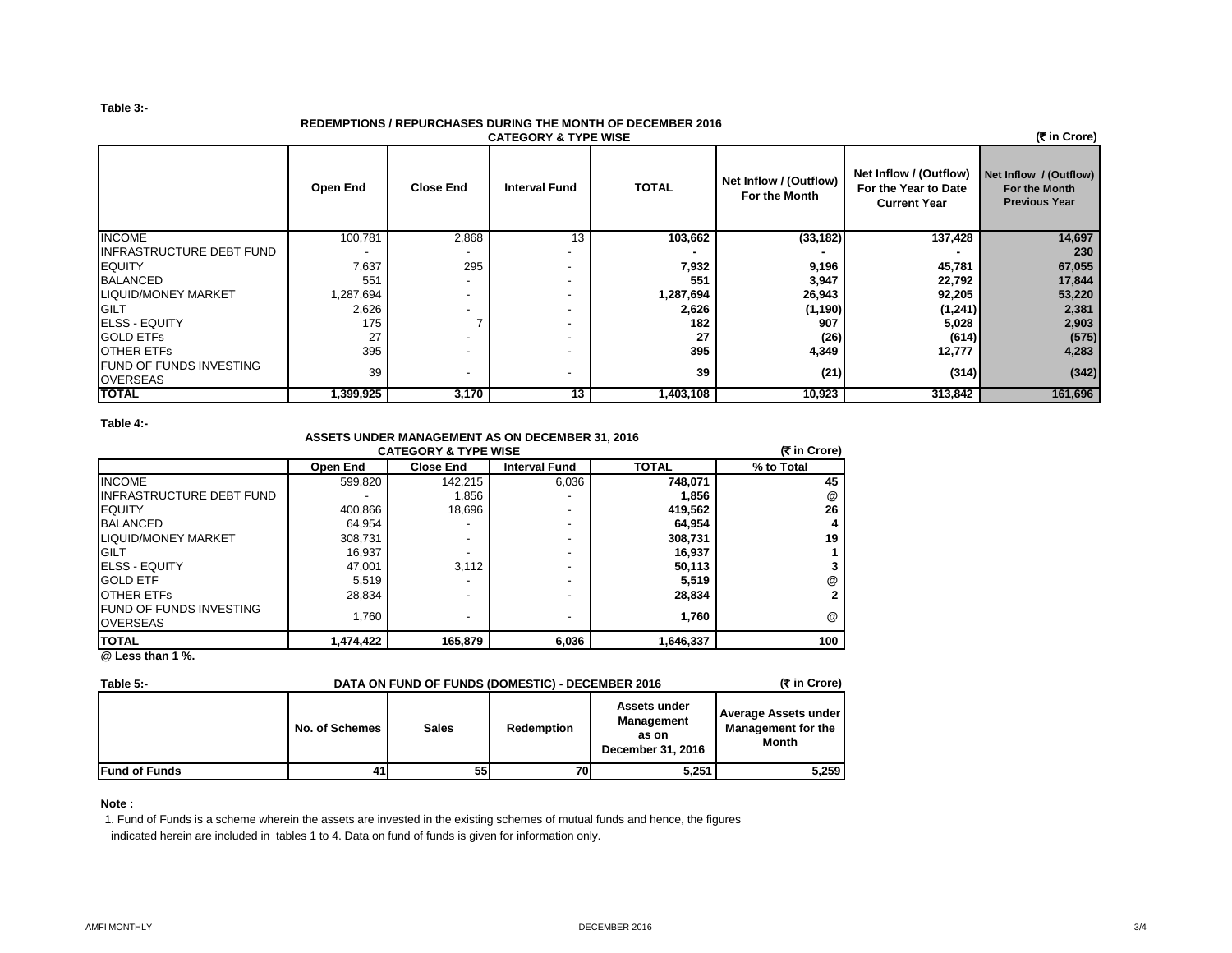#### **Table 3:-**

## **REDEMPTIONS / REPURCHASES DURING THE MONTH OF DECEMBER 2016**

| (₹ in Crore)<br><b>CATEGORY &amp; TYPE WISE</b> |           |                          |                          |              |                                         |                                                                       |                                                                 |  |  |
|-------------------------------------------------|-----------|--------------------------|--------------------------|--------------|-----------------------------------------|-----------------------------------------------------------------------|-----------------------------------------------------------------|--|--|
|                                                 | Open End  | <b>Close End</b>         | <b>Interval Fund</b>     | <b>TOTAL</b> | Net Inflow / (Outflow)<br>For the Month | Net Inflow / (Outflow)<br>For the Year to Date<br><b>Current Year</b> | Net Inflow / (Outflow)<br>For the Month<br><b>Previous Year</b> |  |  |
| <b>INCOME</b>                                   | 100,781   | 2,868                    | 13                       | 103,662      | (33, 182)                               | 137,428                                                               | 14,697                                                          |  |  |
| <b>INFRASTRUCTURE DEBT FUND</b>                 |           |                          |                          |              |                                         |                                                                       | 230                                                             |  |  |
| <b>EQUITY</b>                                   | 7,637     | 295                      | $\overline{\phantom{a}}$ | 7,932        | 9,196                                   | 45,781                                                                | 67,055                                                          |  |  |
| <b>BALANCED</b>                                 | 551       |                          | $\overline{\phantom{a}}$ | 551          | 3,947                                   | 22,792                                                                | 17,844                                                          |  |  |
| <b>LIQUID/MONEY MARKET</b>                      | 1,287,694 | $\overline{\phantom{a}}$ | $\overline{\phantom{a}}$ | 1,287,694    | 26,943                                  | 92,205                                                                | 53,220                                                          |  |  |
| GILT                                            | 2,626     |                          | $\overline{\phantom{a}}$ | 2,626        | (1, 190)                                | (1, 241)                                                              | 2,381                                                           |  |  |
| <b>ELSS - EQUITY</b>                            | 175       |                          | $\overline{\phantom{a}}$ | 182          | 907                                     | 5,028                                                                 | 2,903                                                           |  |  |
| <b>GOLD ETFS</b>                                | 27        |                          | $\overline{\phantom{a}}$ | 27           | (26)                                    | (614)                                                                 | (575)                                                           |  |  |
| <b>OTHER ETFS</b>                               | 395       |                          |                          | 395          | 4,349                                   | 12,777                                                                | 4,283                                                           |  |  |
| <b>FUND OF FUNDS INVESTING</b><br>OVERSEAS      | 39        | $\overline{\phantom{a}}$ | $\overline{\phantom{a}}$ | 39           | (21)                                    | (314)                                                                 | (342)                                                           |  |  |
| <b>TOTAL</b>                                    | 1,399,925 | 3,170                    | 13                       | 1,403,108    | 10,923                                  | 313,842                                                               | 161,696                                                         |  |  |

## **Table 4:-**

## **ASSETS UNDER MANAGEMENT AS ON DECEMBER 31, 2016 CATEGORY & TYPE WISE**

| (そ in Crore)<br><b>CATEGORY &amp; TYPE WISE</b>   |           |                  |                      |              |              |  |  |  |
|---------------------------------------------------|-----------|------------------|----------------------|--------------|--------------|--|--|--|
|                                                   | Open End  | <b>Close End</b> | <b>Interval Fund</b> | <b>TOTAL</b> | % to Total   |  |  |  |
| <b>INCOME</b>                                     | 599,820   | 142.215          | 6,036                | 748,071      | 45           |  |  |  |
| IINFRASTRUCTURE DEBT FUND                         |           | 1,856            |                      | 1,856        | @            |  |  |  |
| <b>EQUITY</b>                                     | 400,866   | 18,696           |                      | 419,562      | 26           |  |  |  |
| <b>BALANCED</b>                                   | 64,954    |                  |                      | 64,954       | 4            |  |  |  |
| LIQUID/MONEY MARKET                               | 308,731   |                  |                      | 308,731      | 19           |  |  |  |
| <b>GILT</b>                                       | 16,937    |                  | ٠                    | 16,937       |              |  |  |  |
| <b>ELSS - EQUITY</b>                              | 47,001    | 3.112            | ۰                    | 50,113       | 3            |  |  |  |
| <b>GOLD ETF</b>                                   | 5,519     |                  | ٠                    | 5,519        | @            |  |  |  |
| <b>OTHER ETFS</b>                                 | 28.834    |                  |                      | 28,834       | $\mathbf{2}$ |  |  |  |
| <b>FUND OF FUNDS INVESTING</b><br><b>OVERSEAS</b> | 1.760     |                  | ٠                    | 1,760        | @            |  |  |  |
| <b>TOTAL</b>                                      | 1,474,422 | 165,879          | 6,036                | 1,646,337    | 100          |  |  |  |

**@ Less than 1 %.**

| Table 5:-            | DATA ON FUND OF FUNDS (DOMESTIC) - DECEMBER 2016 | (₹ in Crore) |            |                                                                 |                                                            |
|----------------------|--------------------------------------------------|--------------|------------|-----------------------------------------------------------------|------------------------------------------------------------|
|                      | No. of Schemes                                   | <b>Sales</b> | Redemption | Assets under<br><b>Management</b><br>as on<br>December 31, 2016 | Average Assets under<br><b>Management for the</b><br>Month |
| <b>Fund of Funds</b> | 41                                               | 55           | 70I        | 5.251                                                           | 5,259                                                      |

### **Note :**

1. Fund of Funds is a scheme wherein the assets are invested in the existing schemes of mutual funds and hence, the figures indicated herein are included in tables 1 to 4. Data on fund of funds is given for information only.